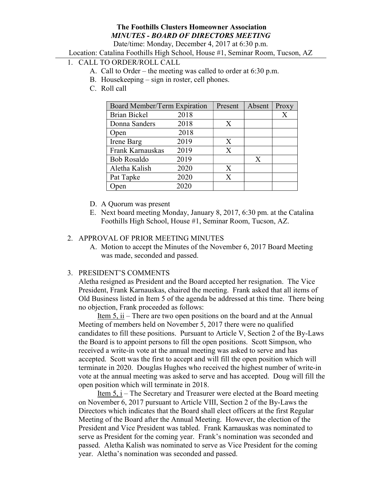## The Foothills Clusters Homeowner Association MINUTES - BOARD OF DIRECTORS MEETING

Date/time: Monday, December 4, 2017 at 6:30 p.m.

Location: Catalina Foothills High School, House #1, Seminar Room, Tucson, AZ

# 1. CALL TO ORDER/ROLL CALL

- A. Call to Order the meeting was called to order at 6:30 p.m.
- B. Housekeeping sign in roster, cell phones.
- C. Roll call

| Board Member/Term Expiration |      | Present      | Absent | Proxy |
|------------------------------|------|--------------|--------|-------|
| <b>Brian Bickel</b>          | 2018 |              |        | X     |
| Donna Sanders                | 2018 | $\mathbf{X}$ |        |       |
| Open                         | 2018 |              |        |       |
| Irene Barg                   | 2019 | X            |        |       |
| Frank Karnauskas             | 2019 | X            |        |       |
| <b>Bob Rosaldo</b>           | 2019 |              | X      |       |
| Aletha Kalish                | 2020 | X            |        |       |
| Pat Tapke                    | 2020 | X            |        |       |
| Open                         | 2020 |              |        |       |

- D. A Quorum was present
- E. Next board meeting Monday, January 8, 2017, 6:30 pm. at the Catalina Foothills High School, House #1, Seminar Room, Tucson, AZ.

### 2. APPROVAL OF PRIOR MEETING MINUTES

A. Motion to accept the Minutes of the November 6, 2017 Board Meeting was made, seconded and passed.

#### 3. PRESIDENT'S COMMENTS

Aletha resigned as President and the Board accepted her resignation. The Vice President, Frank Karnauskas, chaired the meeting. Frank asked that all items of Old Business listed in Item 5 of the agenda be addressed at this time. There being no objection, Frank proceeded as follows:

 Item 5, ii – There are two open positions on the board and at the Annual Meeting of members held on November 5, 2017 there were no qualified candidates to fill these positions. Pursuant to Article V, Section 2 of the By-Laws the Board is to appoint persons to fill the open positions. Scott Simpson, who received a write-in vote at the annual meeting was asked to serve and has accepted. Scott was the first to accept and will fill the open position which will terminate in 2020. Douglas Hughes who received the highest number of write-in vote at the annual meeting was asked to serve and has accepted. Doug will fill the open position which will terminate in 2018.

 Item 5, i – The Secretary and Treasurer were elected at the Board meeting on November 6, 2017 pursuant to Article VIII, Section 2 of the By-Laws the Directors which indicates that the Board shall elect officers at the first Regular Meeting of the Board after the Annual Meeting. However, the election of the President and Vice President was tabled. Frank Karnauskas was nominated to serve as President for the coming year. Frank's nomination was seconded and passed. Aletha Kalish was nominated to serve as Vice President for the coming year. Aletha's nomination was seconded and passed.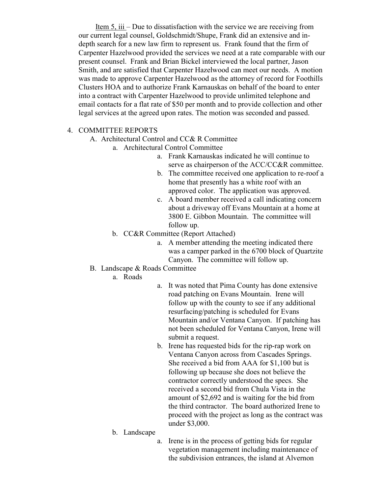Item 5, iii – Due to dissatisfaction with the service we are receiving from our current legal counsel, Goldschmidt/Shupe, Frank did an extensive and indepth search for a new law firm to represent us. Frank found that the firm of Carpenter Hazelwood provided the services we need at a rate comparable with our present counsel. Frank and Brian Bickel interviewed the local partner, Jason Smith, and are satisfied that Carpenter Hazelwood can meet our needs. A motion was made to approve Carpenter Hazelwood as the attorney of record for Foothills Clusters HOA and to authorize Frank Karnauskas on behalf of the board to enter into a contract with Carpenter Hazelwood to provide unlimited telephone and email contacts for a flat rate of \$50 per month and to provide collection and other legal services at the agreed upon rates. The motion was seconded and passed.

### 4. COMMITTEE REPORTS

A. Architectural Control and CC& R Committee

- a. Architectural Control Committee
	- a. Frank Karnauskas indicated he will continue to serve as chairperson of the ACC/CC&R committee.
	- b. The committee received one application to re-roof a home that presently has a white roof with an approved color. The application was approved.
	- c. A board member received a call indicating concern about a driveway off Evans Mountain at a home at 3800 E. Gibbon Mountain. The committee will follow up.
- b. CC&R Committee (Report Attached)
	- a. A member attending the meeting indicated there was a camper parked in the 6700 block of Quartzite Canyon. The committee will follow up.
- B. Landscape & Roads Committee
	- a. Roads
- a. It was noted that Pima County has done extensive road patching on Evans Mountain. Irene will follow up with the county to see if any additional resurfacing/patching is scheduled for Evans Mountain and/or Ventana Canyon. If patching has not been scheduled for Ventana Canyon, Irene will submit a request.
- b. Irene has requested bids for the rip-rap work on Ventana Canyon across from Cascades Springs. She received a bid from AAA for \$1,100 but is following up because she does not believe the contractor correctly understood the specs. She received a second bid from Chula Vista in the amount of \$2,692 and is waiting for the bid from the third contractor. The board authorized Irene to proceed with the project as long as the contract was under \$3,000.
- b. Landscape
- a. Irene is in the process of getting bids for regular vegetation management including maintenance of the subdivision entrances, the island at Alvernon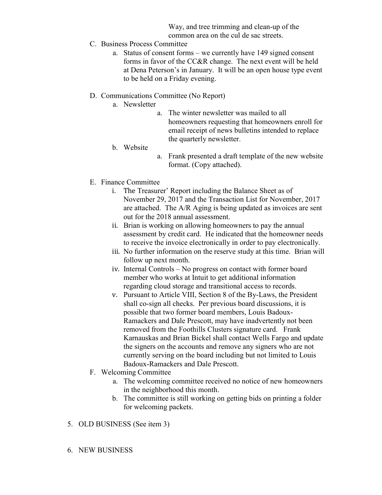Way, and tree trimming and clean-up of the common area on the cul de sac streets.

- C. Business Process Committee
	- a. Status of consent forms we currently have 149 signed consent forms in favor of the CC&R change. The next event will be held at Dena Peterson's in January. It will be an open house type event to be held on a Friday evening.
- D. Communications Committee (No Report)
	- a. Newsletter
		- a. The winter newsletter was mailed to all homeowners requesting that homeowners enroll for email receipt of news bulletins intended to replace the quarterly newsletter.
	- b. Website
- a. Frank presented a draft template of the new website format. (Copy attached).
- E. Finance Committee
	- i. The Treasurer' Report including the Balance Sheet as of November 29, 2017 and the Transaction List for November, 2017 are attached. The A/R Aging is being updated as invoices are sent out for the 2018 annual assessment.
	- ii. Brian is working on allowing homeowners to pay the annual assessment by credit card. He indicated that the homeowner needs to receive the invoice electronically in order to pay electronically.
	- iii. No further information on the reserve study at this time. Brian will follow up next month.
	- iv. Internal Controls No progress on contact with former board member who works at Intuit to get additional information regarding cloud storage and transitional access to records.
	- v. Pursuant to Article VIII, Section 8 of the By-Laws, the President shall co-sign all checks. Per previous board discussions, it is possible that two former board members, Louis Badoux-Ramackers and Dale Prescott, may have inadvertently not been removed from the Foothills Clusters signature card. Frank Karnauskas and Brian Bickel shall contact Wells Fargo and update the signers on the accounts and remove any signers who are not currently serving on the board including but not limited to Louis Badoux-Ramackers and Dale Prescott.
- F. Welcoming Committee
	- a. The welcoming committee received no notice of new homeowners in the neighborhood this month.
	- b. The committee is still working on getting bids on printing a folder for welcoming packets.
- 5. OLD BUSINESS (See item 3)
- 6. NEW BUSINESS